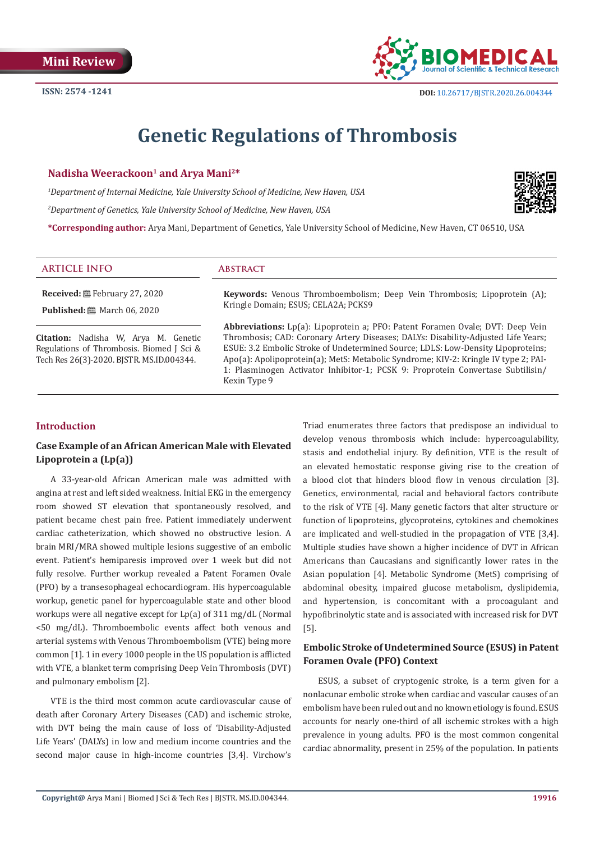

# **Genetic Regulations of Thrombosis**

#### Nadisha Weerackoon<sup>1</sup> and Arva Mani<sup>2\*</sup>

*1 Department of Internal Medicine, Yale University School of Medicine, New Haven, USA*

*2 Department of Genetics, Yale University School of Medicine, New Haven, USA*



**\*Corresponding author:** Arya Mani, Department of Genetics, Yale University School of Medicine, New Haven, CT 06510, USA

#### **ARTICLE INFO Abstract**

**Received:** February 27, 2020 **Published:** ■ March 06, 2020

**Keywords:** Venous Thromboembolism; Deep Vein Thrombosis; Lipoprotein (A); Kringle Domain; ESUS; CELA2A; PCKS9

**Citation:** Nadisha W, Arya M. Genetic Regulations of Thrombosis. Biomed J Sci & Tech Res 26(3)-2020. BJSTR. MS.ID.004344.

**Abbreviations:** Lp(a): Lipoprotein a; PFO: Patent Foramen Ovale; DVT: Deep Vein Thrombosis; CAD: Coronary Artery Diseases; DALYs: Disability-Adjusted Life Years; ESUE: 3.2 Embolic Stroke of Undetermined Source; LDLS: Low-Density Lipoproteins; Apo(a): Apolipoprotein(a); MetS: Metabolic Syndrome; KIV-2: Kringle IV type 2; PAI-1: Plasminogen Activator Inhibitor-1; PCSK 9: Proprotein Convertase Subtilisin/ Kexin Type 9

## **Introduction**

## **Case Example of an African American Male with Elevated Lipoprotein a (Lp(a))**

A 33-year-old African American male was admitted with angina at rest and left sided weakness. Initial EKG in the emergency room showed ST elevation that spontaneously resolved, and patient became chest pain free. Patient immediately underwent cardiac catheterization, which showed no obstructive lesion. A brain MRI/MRA showed multiple lesions suggestive of an embolic event. Patient's hemiparesis improved over 1 week but did not fully resolve. Further workup revealed a Patent Foramen Ovale (PFO) by a transesophageal echocardiogram. His hypercoagulable workup, genetic panel for hypercoagulable state and other blood workups were all negative except for Lp(a) of 311 mg/dL (Normal <50 mg/dL). Thromboembolic events affect both venous and arterial systems with Venous Thromboembolism (VTE) being more common [1]. 1 in every 1000 people in the US population is afflicted with VTE, a blanket term comprising Deep Vein Thrombosis (DVT) and pulmonary embolism [2].

VTE is the third most common acute cardiovascular cause of death after Coronary Artery Diseases (CAD) and ischemic stroke, with DVT being the main cause of loss of 'Disability-Adjusted Life Years' (DALYs) in low and medium income countries and the second major cause in high-income countries [3,4]. Virchow's

Triad enumerates three factors that predispose an individual to develop venous thrombosis which include: hypercoagulability, stasis and endothelial injury. By definition, VTE is the result of an elevated hemostatic response giving rise to the creation of a blood clot that hinders blood flow in venous circulation [3]. Genetics, environmental, racial and behavioral factors contribute to the risk of VTE [4]. Many genetic factors that alter structure or function of lipoproteins, glycoproteins, cytokines and chemokines are implicated and well-studied in the propagation of VTE [3,4]. Multiple studies have shown a higher incidence of DVT in African Americans than Caucasians and significantly lower rates in the Asian population [4]. Metabolic Syndrome (MetS) comprising of abdominal obesity, impaired glucose metabolism, dyslipidemia, and hypertension, is concomitant with a procoagulant and hypofibrinolytic state and is associated with increased risk for DVT [5].

## **Embolic Stroke of Undetermined Source (ESUS) in Patent Foramen Ovale (PFO) Context**

ESUS, a subset of cryptogenic stroke, is a term given for a nonlacunar embolic stroke when cardiac and vascular causes of an embolism have been ruled out and no known etiology is found. ESUS accounts for nearly one-third of all ischemic strokes with a high prevalence in young adults. PFO is the most common congenital cardiac abnormality, present in 25% of the population. In patients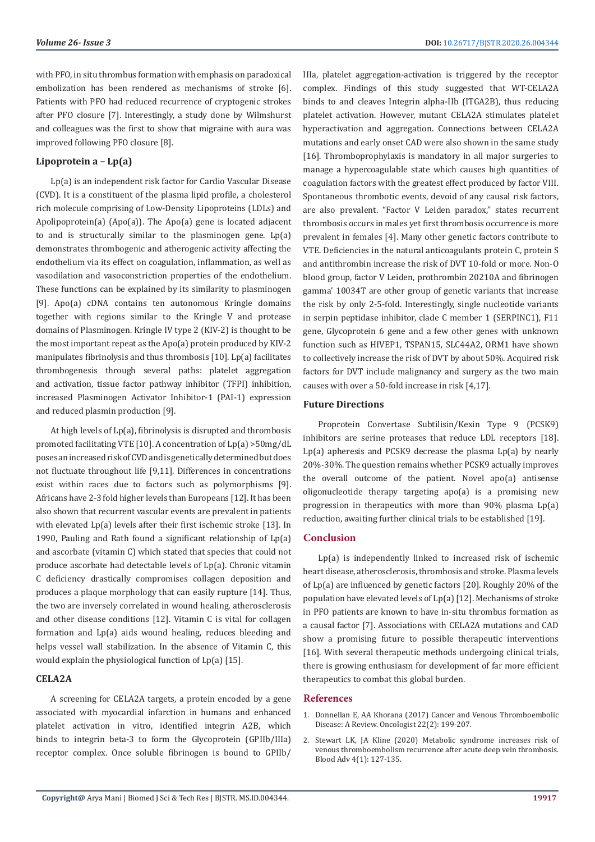with PFO, in situ thrombus formation with emphasis on paradoxical embolization has been rendered as mechanisms of stroke [6]. Patients with PFO had reduced recurrence of cryptogenic strokes after PFO closure [7]. Interestingly, a study done by Wilmshurst and colleagues was the first to show that migraine with aura was improved following PFO closure [8].

## **Lipoprotein a – Lp(a)**

Lp(a) is an independent risk factor for Cardio Vascular Disease (CVD). It is a constituent of the plasma lipid profile, a cholesterol rich molecule comprising of Low-Density Lipoproteins (LDLs) and Apolipoprotein(a) (Apo(a)). The Apo(a) gene is located adjacent to and is structurally similar to the plasminogen gene. Lp(a) demonstrates thrombogenic and atherogenic activity affecting the endothelium via its effect on coagulation, inflammation, as well as vasodilation and vasoconstriction properties of the endothelium. These functions can be explained by its similarity to plasminogen [9]. Apo(a) cDNA contains ten autonomous Kringle domains together with regions similar to the Kringle V and protease domains of Plasminogen. Kringle IV type 2 (KIV-2) is thought to be the most important repeat as the Apo(a) protein produced by KIV-2 manipulates fibrinolysis and thus thrombosis [10]. Lp(a) facilitates thrombogenesis through several paths: platelet aggregation and activation, tissue factor pathway inhibitor (TFPI) inhibition, increased Plasminogen Activator Inhibitor-1 (PAI-1) expression and reduced plasmin production [9].

At high levels of Lp(a), fibrinolysis is disrupted and thrombosis promoted facilitating VTE [10]. A concentration of Lp(a) >50mg/dL poses an increased risk of CVD and is genetically determined but does not fluctuate throughout life [9,11]. Differences in concentrations exist within races due to factors such as polymorphisms [9]. Africans have 2-3 fold higher levels than Europeans [12]. It has been also shown that recurrent vascular events are prevalent in patients with elevated Lp(a) levels after their first ischemic stroke [13]. In 1990, Pauling and Rath found a significant relationship of Lp(a) and ascorbate (vitamin C) which stated that species that could not produce ascorbate had detectable levels of Lp(a). Chronic vitamin C deficiency drastically compromises collagen deposition and produces a plaque morphology that can easily rupture [14]. Thus, the two are inversely correlated in wound healing, atherosclerosis and other disease conditions [12]. Vitamin C is vital for collagen formation and Lp(a) aids wound healing, reduces bleeding and helps vessel wall stabilization. In the absence of Vitamin C, this would explain the physiological function of Lp(a) [15].

#### **CELA2A**

A screening for CELA2A targets, a protein encoded by a gene associated with myocardial infarction in humans and enhanced platelet activation in vitro, identified integrin A2B, which binds to integrin beta-3 to form the Glycoprotein (GPIIb/IIIa) receptor complex. Once soluble fibrinogen is bound to GPIIb/

IIIa, platelet aggregation-activation is triggered by the receptor complex. Findings of this study suggested that WT-CELA2A binds to and cleaves Integrin alpha-IIb (ITGA2B), thus reducing platelet activation. However, mutant CELA2A stimulates platelet hyperactivation and aggregation. Connections between CELA2A mutations and early onset CAD were also shown in the same study [16]. Thromboprophylaxis is mandatory in all major surgeries to manage a hypercoagulable state which causes high quantities of coagulation factors with the greatest effect produced by factor VIII. Spontaneous thrombotic events, devoid of any causal risk factors, are also prevalent. "Factor V Leiden paradox," states recurrent thrombosis occurs in males yet first thrombosis occurrence is more prevalent in females [4]. Many other genetic factors contribute to VTE. Deficiencies in the natural anticoagulants protein C, protein S and antithrombin increase the risk of DVT 10-fold or more. Non-O blood group, factor V Leiden, prothrombin 20210A and fibrinogen gamma' 10034T are other group of genetic variants that increase the risk by only 2-5-fold. Interestingly, single nucleotide variants in serpin peptidase inhibitor, clade C member 1 (SERPINC1), F11 gene, Glycoprotein 6 gene and a few other genes with unknown function such as HIVEP1, TSPAN15, SLC44A2, ORM1 have shown to collectively increase the risk of DVT by about 50%. Acquired risk factors for DVT include malignancy and surgery as the two main causes with over a 50-fold increase in risk [4,17].

### **Future Directions**

Proprotein Convertase Subtilisin/Kexin Type 9 (PCSK9) inhibitors are serine proteases that reduce LDL receptors [18]. Lp(a) apheresis and PCSK9 decrease the plasma Lp(a) by nearly 20%-30%. The question remains whether PCSK9 actually improves the overall outcome of the patient. Novel apo(a) antisense oligonucleotide therapy targeting apo(a) is a promising new progression in therapeutics with more than 90% plasma Lp(a) reduction, awaiting further clinical trials to be established [19].

## **Conclusion**

Lp(a) is independently linked to increased risk of ischemic heart disease, atherosclerosis, thrombosis and stroke. Plasma levels of Lp(a) are influenced by genetic factors [20]. Roughly 20% of the population have elevated levels of Lp(a) [12]. Mechanisms of stroke in PFO patients are known to have in-situ thrombus formation as a causal factor [7]. Associations with CELA2A mutations and CAD show a promising future to possible therapeutic interventions [16]. With several therapeutic methods undergoing clinical trials, there is growing enthusiasm for development of far more efficient therapeutics to combat this global burden.

### **References**

- 1. [Donnellan E, AA Khorana \(2017\) Cancer and Venous Thromboembolic](https://www.ncbi.nlm.nih.gov/pubmed/28174293) [Disease: A Review. Oncologist 22\(2\): 199-207.](https://www.ncbi.nlm.nih.gov/pubmed/28174293)
- 2. [Stewart LK, JA Kline \(2020\) Metabolic syndrome increases risk of](https://www.ncbi.nlm.nih.gov/pubmed/31917844) [venous thromboembolism recurrence after acute deep vein thrombosis.](https://www.ncbi.nlm.nih.gov/pubmed/31917844) [Blood Adv 4\(1\): 127-135.](https://www.ncbi.nlm.nih.gov/pubmed/31917844)